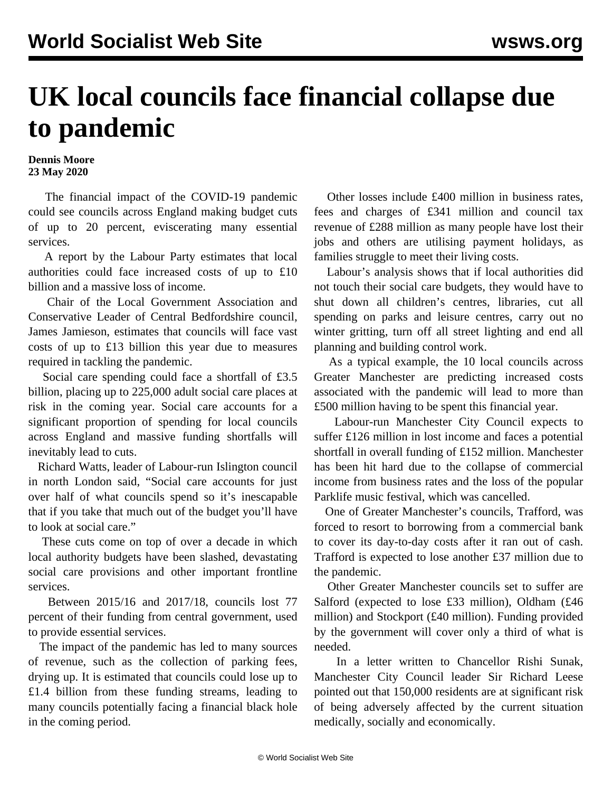## **UK local councils face financial collapse due to pandemic**

## **Dennis Moore 23 May 2020**

 The financial impact of the COVID-19 pandemic could see councils across England making budget cuts of up to 20 percent, eviscerating many essential services.

 A report by the Labour Party estimates that local authorities could face increased costs of up to £10 billion and a massive loss of income.

 Chair of the Local Government Association and Conservative Leader of Central Bedfordshire council, James Jamieson, estimates that councils will face vast costs of up to £13 billion this year due to measures required in tackling the pandemic.

 Social care spending could face a shortfall of £3.5 billion, placing up to 225,000 adult social care places at risk in the coming year. Social care accounts for a significant proportion of spending for local councils across England and massive funding shortfalls will inevitably lead to cuts.

 Richard Watts, leader of Labour-run Islington council in north London said, "Social care accounts for just over half of what councils spend so it's inescapable that if you take that much out of the budget you'll have to look at social care."

 These cuts come on top of over a decade in which local authority budgets have been slashed, devastating social care provisions and other important frontline services.

 Between 2015/16 and 2017/18, councils lost 77 percent of their funding from central government, used to provide essential services.

 The impact of the pandemic has led to many sources of revenue, such as the collection of parking fees, drying up. It is estimated that councils could lose up to £1.4 billion from these funding streams, leading to many councils potentially facing a financial black hole in the coming period.

 Other losses include £400 million in business rates, fees and charges of £341 million and council tax revenue of £288 million as many people have lost their jobs and others are utilising payment holidays, as families struggle to meet their living costs.

 Labour's analysis shows that if local authorities did not touch their social care budgets, they would have to shut down all children's centres, libraries, cut all spending on parks and leisure centres, carry out no winter gritting, turn off all street lighting and end all planning and building control work.

 As a typical example, the 10 local councils across Greater Manchester are predicting increased costs associated with the pandemic will lead to more than £500 million having to be spent this financial year.

 Labour-run Manchester City Council expects to suffer £126 million in lost income and faces a potential shortfall in overall funding of £152 million. Manchester has been hit hard due to the collapse of commercial income from business rates and the loss of the popular Parklife music festival, which was cancelled.

 One of Greater Manchester's councils, Trafford, was forced to resort to borrowing from a commercial bank to cover its day-to-day costs after it ran out of cash. Trafford is expected to lose another £37 million due to the pandemic.

 Other Greater Manchester councils set to suffer are Salford (expected to lose £33 million), Oldham (£46 million) and Stockport (£40 million). Funding provided by the government will cover only a third of what is needed.

 In a letter written to Chancellor Rishi Sunak, Manchester City Council leader Sir Richard Leese pointed out that 150,000 residents are at significant risk of being adversely affected by the current situation medically, socially and economically.